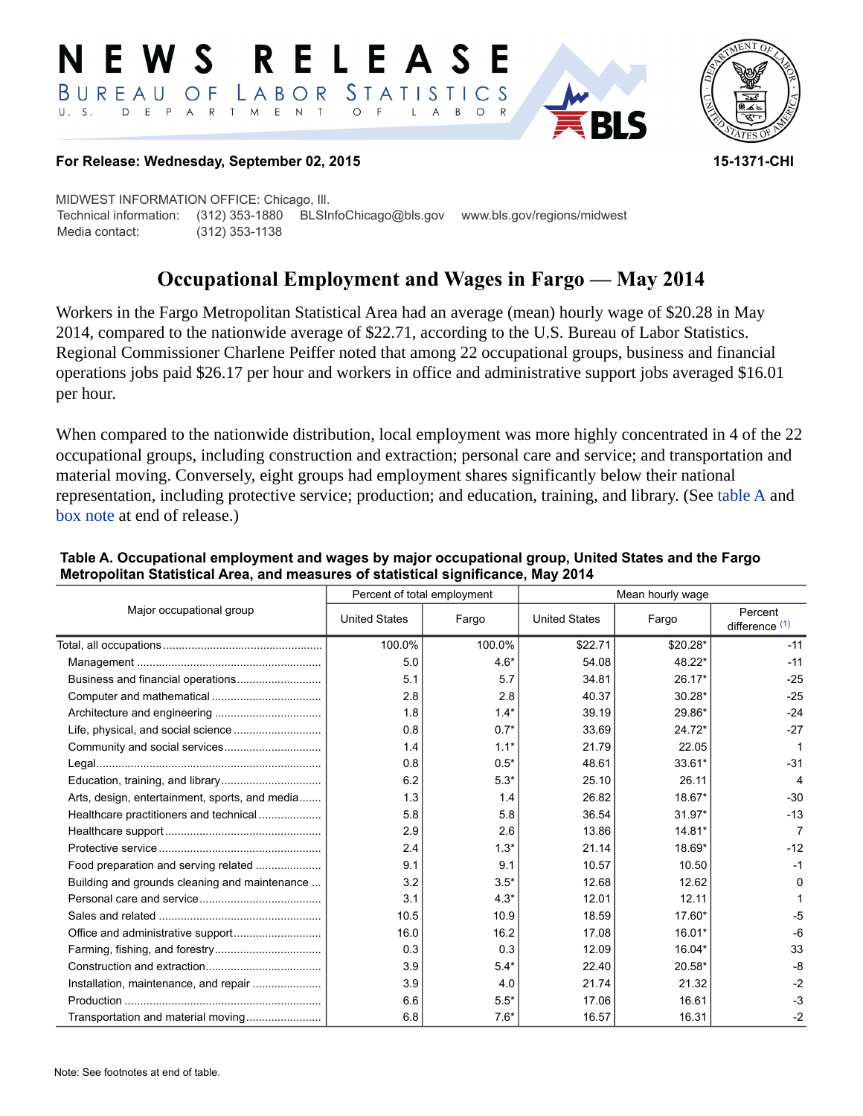#### RELEASE E W S *STATISTICS*  $B$  U R E A U O F LABOR  $U. S.$ D E P A R T M E N T  $\circ$  $\overline{F}$  $\mathsf{L}$  $\overline{A}$  $B$  $\circ$



#### **For Release: Wednesday, September 02, 2015 15-1371-CHI**

MIDWEST INFORMATION OFFICE: Chicago, Ill. Technical information: (312) 353-1880 BLSInfoChicago@bls.gov www.bls.gov/regions/midwest Media contact: (312) 353-1138

# **Occupational Employment and Wages in Fargo — May 2014**

Workers in the Fargo Metropolitan Statistical Area had an average (mean) hourly wage of \$20.28 in May 2014, compared to the nationwide average of \$22.71, according to the U.S. Bureau of Labor Statistics. Regional Commissioner Charlene Peiffer noted that among 22 occupational groups, business and financial operations jobs paid \$26.17 per hour and workers in office and administrative support jobs averaged \$16.01 per hour.

When compared to the nationwide distribution, local employment was more highly concentrated in 4 of the 22 occupational groups, including construction and extraction; personal care and service; and transportation and material moving. Conversely, eight groups had employment shares significantly below their national representation, including protective service; production; and education, training, and library. (See table A and [box note](#page-1-0) at end of release.)

| Major occupational group                       | Percent of total employment |        | Mean hourly wage     |          |                             |
|------------------------------------------------|-----------------------------|--------|----------------------|----------|-----------------------------|
|                                                | <b>United States</b>        | Fargo  | <b>United States</b> | Fargo    | Percent<br>difference $(1)$ |
|                                                | 100.0%                      | 100.0% | \$22.71              | \$20.28* | $-11$                       |
|                                                | 5.0                         | $4.6*$ | 54.08                | 48.22*   | $-11$                       |
|                                                | 5.1                         | 5.7    | 34.81                | $26.17*$ | $-25$                       |
|                                                | 2.8                         | 2.8    | 40.37                | $30.28*$ | $-25$                       |
|                                                | 1.8                         | $1.4*$ | 39.19                | 29.86*   | $-24$                       |
|                                                | 0.8                         | $0.7*$ | 33.69                | $24.72*$ | $-27$                       |
|                                                | 1.4                         | $1.1*$ | 21.79                | 22.05    |                             |
|                                                | 0.8                         | $0.5*$ | 48.61                | 33.61*   | $-31$                       |
|                                                | 6.2                         | $5.3*$ | 25.10                | 26.11    | 4                           |
| Arts, design, entertainment, sports, and media | 1.3                         | 1.4    | 26.82                | 18.67*   | $-30$                       |
| Healthcare practitioners and technical         | 5.8                         | 5.8    | 36.54                | $31.97*$ | $-13$                       |
|                                                | 2.9                         | 2.6    | 13.86                | 14.81*   |                             |
|                                                | 2.4                         | $1.3*$ | 21.14                | 18.69*   | $-12$                       |
| Food preparation and serving related           | 9.1                         | 9.1    | 10.57                | 10.50    | $-1$                        |
| Building and grounds cleaning and maintenance  | 3.2                         | $3.5*$ | 12.68                | 12.62    | 0                           |
|                                                | 3.1                         | $4.3*$ | 12.01                | 12.11    |                             |
|                                                | 10.5                        | 10.9   | 18.59                | $17.60*$ | $-5$                        |
|                                                | 16.0                        | 16.2   | 17.08                | 16.01*   | $-6$                        |
|                                                | 0.3                         | 0.3    | 12.09                | 16.04*   | 33                          |
|                                                | 3.9                         | $5.4*$ | 22.40                | 20.58*   | -8                          |
|                                                | 3.9                         | 4.0    | 21.74                | 21.32    | $-2$                        |
|                                                | 6.6                         | $5.5*$ | 17.06                | 16.61    | $-3$                        |
| Transportation and material moving             | 6.8                         | $7.6*$ | 16.57                | 16.31    | $-2$                        |

#### **Table A. Occupational employment and wages by major occupational group, United States and the Fargo Metropolitan Statistical Area, and measures of statistical significance, May 2014**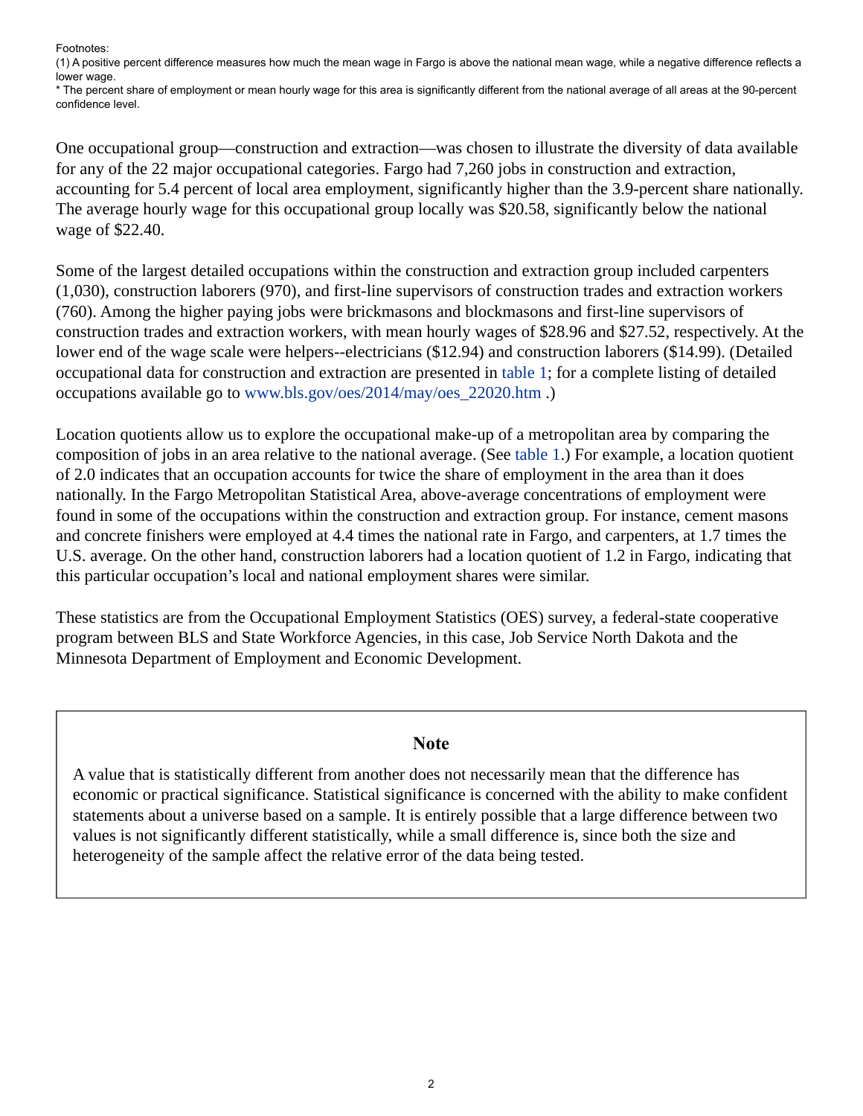Footnotes:

<span id="page-1-1"></span>(1) A positive percent difference measures how much the mean wage in Fargo is above the national mean wage, while a negative difference reflects a lower wage.

\* The percent share of employment or mean hourly wage for this area is significantly different from the national average of all areas at the 90-percent confidence level.

One occupational group—construction and extraction—was chosen to illustrate the diversity of data available for any of the 22 major occupational categories. Fargo had 7,260 jobs in construction and extraction, accounting for 5.4 percent of local area employment, significantly higher than the 3.9-percent share nationally. The average hourly wage for this occupational group locally was \$20.58, significantly below the national wage of \$22.40.

Some of the largest detailed occupations within the construction and extraction group included carpenters (1,030), construction laborers (970), and first-line supervisors of construction trades and extraction workers (760). Among the higher paying jobs were brickmasons and blockmasons and first-line supervisors of construction trades and extraction workers, with mean hourly wages of \$28.96 and \$27.52, respectively. At the lower end of the wage scale were helpers--electricians (\$12.94) and construction laborers (\$14.99). (Detailed occupational data for construction and extraction are presented in table 1; for a complete listing of detailed occupations available go to [www.bls.gov/oes/2014/may/oes\\_22020.htm](https://www.bls.gov/oes/2014/may/oes_22020.htm) .)

Location quotients allow us to explore the occupational make-up of a metropolitan area by comparing the composition of jobs in an area relative to the national average. (See table 1.) For example, a location quotient of 2.0 indicates that an occupation accounts for twice the share of employment in the area than it does nationally. In the Fargo Metropolitan Statistical Area, above-average concentrations of employment were found in some of the occupations within the construction and extraction group. For instance, cement masons and concrete finishers were employed at 4.4 times the national rate in Fargo, and carpenters, at 1.7 times the U.S. average. On the other hand, construction laborers had a location quotient of 1.2 in Fargo, indicating that this particular occupation's local and national employment shares were similar.

These statistics are from the Occupational Employment Statistics (OES) survey, a federal-state cooperative program between BLS and State Workforce Agencies, in this case, Job Service North Dakota and the Minnesota Department of Employment and Economic Development.

### **Note**

<span id="page-1-0"></span>A value that is statistically different from another does not necessarily mean that the difference has economic or practical significance. Statistical significance is concerned with the ability to make confident statements about a universe based on a sample. It is entirely possible that a large difference between two values is not significantly different statistically, while a small difference is, since both the size and heterogeneity of the sample affect the relative error of the data being tested.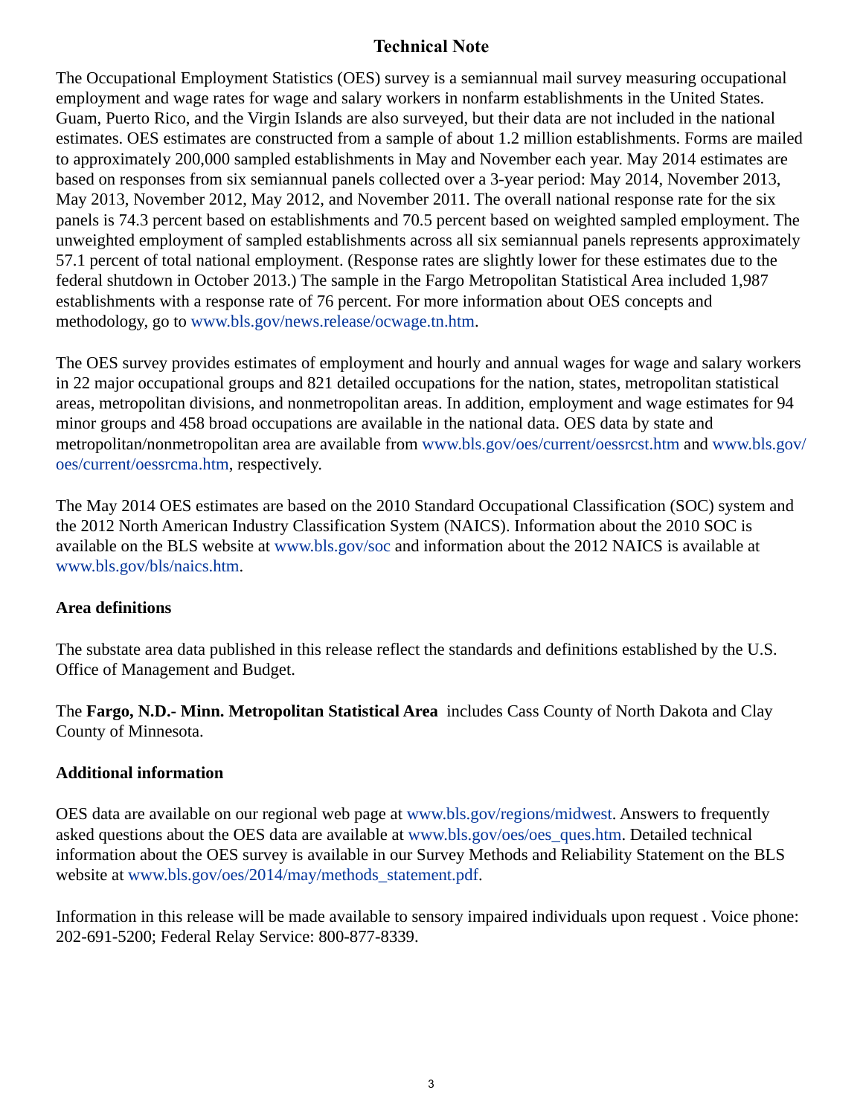# **Technical Note**

The Occupational Employment Statistics (OES) survey is a semiannual mail survey measuring occupational employment and wage rates for wage and salary workers in nonfarm establishments in the United States. Guam, Puerto Rico, and the Virgin Islands are also surveyed, but their data are not included in the national estimates. OES estimates are constructed from a sample of about 1.2 million establishments. Forms are mailed to approximately 200,000 sampled establishments in May and November each year. May 2014 estimates are based on responses from six semiannual panels collected over a 3-year period: May 2014, November 2013, May 2013, November 2012, May 2012, and November 2011. The overall national response rate for the six panels is 74.3 percent based on establishments and 70.5 percent based on weighted sampled employment. The unweighted employment of sampled establishments across all six semiannual panels represents approximately 57.1 percent of total national employment. (Response rates are slightly lower for these estimates due to the federal shutdown in October 2013.) The sample in the Fargo Metropolitan Statistical Area included 1,987 establishments with a response rate of 76 percent. For more information about OES concepts and methodology, go to [www.bls.gov/news.release/ocwage.tn.htm.](https://www.bls.gov/news.release/ocwage.tn.htm)

The OES survey provides estimates of employment and hourly and annual wages for wage and salary workers in 22 major occupational groups and 821 detailed occupations for the nation, states, metropolitan statistical areas, metropolitan divisions, and nonmetropolitan areas. In addition, employment and wage estimates for 94 minor groups and 458 broad occupations are available in the national data. OES data by state and metropolitan/nonmetropolitan area are available from [www.bls.gov/oes/current/oessrcst.htm](https://www.bls.gov/oes/current/oessrcst.htm) and [www.bls.gov/](https://www.bls.gov/oes/current/oessrcma.htm) [oes/current/oessrcma.htm,](https://www.bls.gov/oes/current/oessrcma.htm) respectively.

The May 2014 OES estimates are based on the 2010 Standard Occupational Classification (SOC) system and the 2012 North American Industry Classification System (NAICS). Information about the 2010 SOC is available on the BLS website at [www.bls.gov/soc](https://www.bls.gov/soc) and information about the 2012 NAICS is available at [www.bls.gov/bls/naics.htm.](https://www.bls.gov/bls/naics.htm)

# **Area definitions**

The substate area data published in this release reflect the standards and definitions established by the U.S. Office of Management and Budget.

The **Fargo, N.D.- Minn. Metropolitan Statistical Area** includes Cass County of North Dakota and Clay County of Minnesota.

# **Additional information**

OES data are available on our regional web page at [www.bls.gov/regions/midwest](https://www.bls.gov/regions/midwest). Answers to frequently asked questions about the OES data are available at [www.bls.gov/oes/oes\\_ques.htm](https://www.bls.gov/oes/oes_ques.htm). Detailed technical information about the OES survey is available in our Survey Methods and Reliability Statement on the BLS website at [www.bls.gov/oes/2014/may/methods\\_statement.pdf.](https://www.bls.gov/oes/2014/may/methods_statement.pdf)

Information in this release will be made available to sensory impaired individuals upon request . Voice phone: 202-691-5200; Federal Relay Service: 800-877-8339.